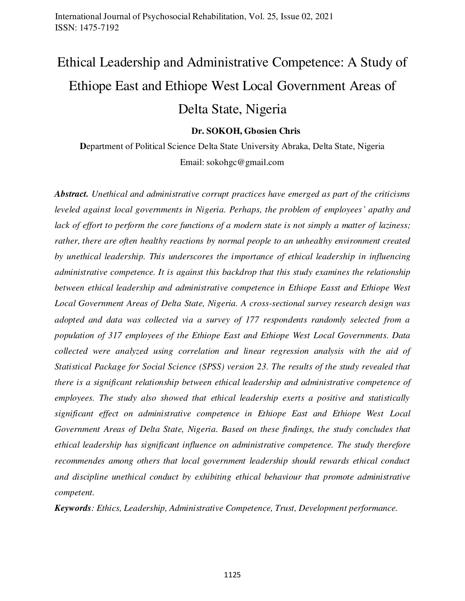# Ethical Leadership and Administrative Competence: A Study of Ethiope East and Ethiope West Local Government Areas of Delta State, Nigeria

# **Dr. SOKOH, Gbosien Chris**

**D**epartment of Political Science Delta State University Abraka, Delta State, Nigeria Email: sokohgc@gmail.com

*Abstract. Unethical and administrative corrupt practices have emerged as part of the criticisms leveled against local governments in Nigeria. Perhaps, the problem of employees' apathy and lack of effort to perform the core functions of a modern state is not simply a matter of laziness; rather, there are often healthy reactions by normal people to an unhealthy environment created by unethical leadership. This underscores the importance of ethical leadership in influencing administrative competence. It is against this backdrop that this study examines the relationship between ethical leadership and administrative competence in Ethiope Easst and Ethiope West Local Government Areas of Delta State, Nigeria. A cross-sectional survey research design was adopted and data was collected via a survey of 177 respondents randomly selected from a population of 317 employees of the Ethiope East and Ethiope West Local Governments. Data collected were analyzed using correlation and linear regression analysis with the aid of Statistical Package for Social Science (SPSS) version 23. The results of the study revealed that there is a significant relationship between ethical leadership and administrative competence of employees. The study also showed that ethical leadership exerts a positive and statistically significant effect on administrative competence in Ethiope East and Ethiope West Local Government Areas of Delta State, Nigeria. Based on these findings, the study concludes that ethical leadership has significant influence on administrative competence. The study therefore recommendes among others that local government leadership should rewards ethical conduct and discipline unethical conduct by exhibiting ethical behaviour that promote administrative competent.*

*Keywords: Ethics, Leadership, Administrative Competence, Trust, Development performance.*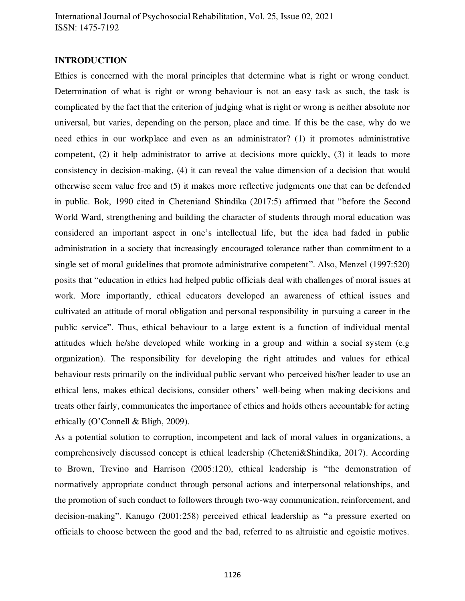### **INTRODUCTION**

Ethics is concerned with the moral principles that determine what is right or wrong conduct. Determination of what is right or wrong behaviour is not an easy task as such, the task is complicated by the fact that the criterion of judging what is right or wrong is neither absolute nor universal, but varies, depending on the person, place and time. If this be the case, why do we need ethics in our workplace and even as an administrator? (1) it promotes administrative competent, (2) it help administrator to arrive at decisions more quickly, (3) it leads to more consistency in decision-making, (4) it can reveal the value dimension of a decision that would otherwise seem value free and (5) it makes more reflective judgments one that can be defended in public. Bok, 1990 cited in Cheteniand Shindika (2017:5) affirmed that "before the Second World Ward, strengthening and building the character of students through moral education was considered an important aspect in one's intellectual life, but the idea had faded in public administration in a society that increasingly encouraged tolerance rather than commitment to a single set of moral guidelines that promote administrative competent". Also, Menzel (1997:520) posits that "education in ethics had helped public officials deal with challenges of moral issues at work. More importantly, ethical educators developed an awareness of ethical issues and cultivated an attitude of moral obligation and personal responsibility in pursuing a career in the public service". Thus, ethical behaviour to a large extent is a function of individual mental attitudes which he/she developed while working in a group and within a social system (e.g organization). The responsibility for developing the right attitudes and values for ethical behaviour rests primarily on the individual public servant who perceived his/her leader to use an ethical lens, makes ethical decisions, consider others' well-being when making decisions and treats other fairly, communicates the importance of ethics and holds others accountable for acting ethically (O'Connell & Bligh, 2009).

As a potential solution to corruption, incompetent and lack of moral values in organizations, a comprehensively discussed concept is ethical leadership (Cheteni&Shindika, 2017). According to Brown, Trevino and Harrison (2005:120), ethical leadership is "the demonstration of normatively appropriate conduct through personal actions and interpersonal relationships, and the promotion of such conduct to followers through two-way communication, reinforcement, and decision-making". Kanugo (2001:258) perceived ethical leadership as "a pressure exerted on officials to choose between the good and the bad, referred to as altruistic and egoistic motives.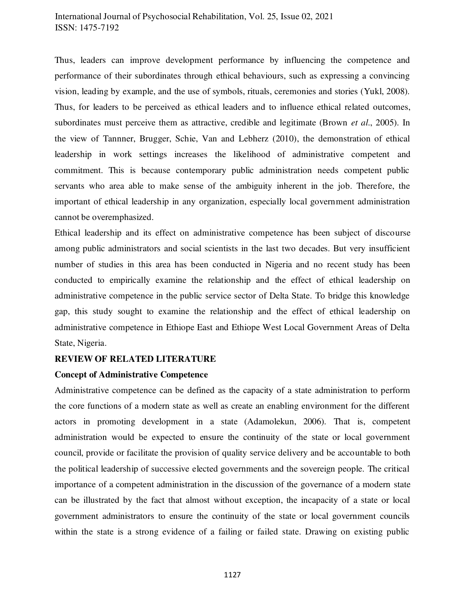Thus, leaders can improve development performance by influencing the competence and performance of their subordinates through ethical behaviours, such as expressing a convincing vision, leading by example, and the use of symbols, rituals, ceremonies and stories (Yukl, 2008). Thus, for leaders to be perceived as ethical leaders and to influence ethical related outcomes, subordinates must perceive them as attractive, credible and legitimate (Brown *et al*., 2005). In the view of Tannner, Brugger, Schie, Van and Lebherz (2010), the demonstration of ethical leadership in work settings increases the likelihood of administrative competent and commitment. This is because contemporary public administration needs competent public servants who area able to make sense of the ambiguity inherent in the job. Therefore, the important of ethical leadership in any organization, especially local government administration cannot be overemphasized.

Ethical leadership and its effect on administrative competence has been subject of discourse among public administrators and social scientists in the last two decades. But very insufficient number of studies in this area has been conducted in Nigeria and no recent study has been conducted to empirically examine the relationship and the effect of ethical leadership on administrative competence in the public service sector of Delta State. To bridge this knowledge gap, this study sought to examine the relationship and the effect of ethical leadership on administrative competence in Ethiope East and Ethiope West Local Government Areas of Delta State, Nigeria.

## **REVIEW OF RELATED LITERATURE**

## **Concept of Administrative Competence**

Administrative competence can be defined as the capacity of a state administration to perform the core functions of a modern state as well as create an enabling environment for the different actors in promoting development in a state (Adamolekun, 2006). That is, competent administration would be expected to ensure the continuity of the state or local government council, provide or facilitate the provision of quality service delivery and be accountable to both the political leadership of successive elected governments and the sovereign people. The critical importance of a competent administration in the discussion of the governance of a modern state can be illustrated by the fact that almost without exception, the incapacity of a state or local government administrators to ensure the continuity of the state or local government councils within the state is a strong evidence of a failing or failed state. Drawing on existing public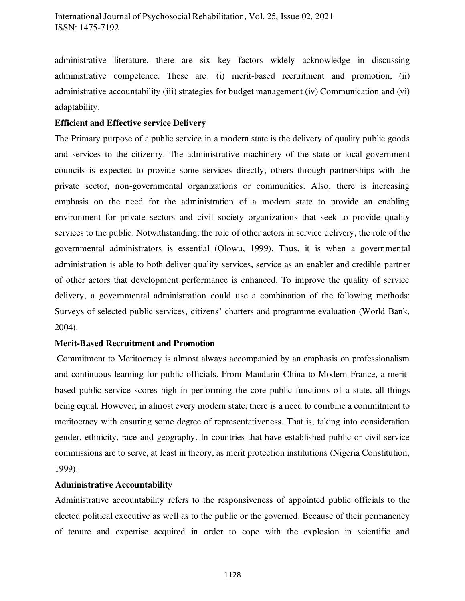administrative literature, there are six key factors widely acknowledge in discussing administrative competence. These are: (i) merit-based recruitment and promotion, (ii) administrative accountability (iii) strategies for budget management (iv) Communication and (vi) adaptability.

# **Efficient and Effective service Delivery**

The Primary purpose of a public service in a modern state is the delivery of quality public goods and services to the citizenry. The administrative machinery of the state or local government councils is expected to provide some services directly, others through partnerships with the private sector, non-governmental organizations or communities. Also, there is increasing emphasis on the need for the administration of a modern state to provide an enabling environment for private sectors and civil society organizations that seek to provide quality services to the public. Notwithstanding, the role of other actors in service delivery, the role of the governmental administrators is essential (Olowu, 1999). Thus, it is when a governmental administration is able to both deliver quality services, service as an enabler and credible partner of other actors that development performance is enhanced. To improve the quality of service delivery, a governmental administration could use a combination of the following methods: Surveys of selected public services, citizens' charters and programme evaluation (World Bank, 2004).

## **Merit-Based Recruitment and Promotion**

 Commitment to Meritocracy is almost always accompanied by an emphasis on professionalism and continuous learning for public officials. From Mandarin China to Modern France, a meritbased public service scores high in performing the core public functions of a state, all things being equal. However, in almost every modern state, there is a need to combine a commitment to meritocracy with ensuring some degree of representativeness. That is, taking into consideration gender, ethnicity, race and geography. In countries that have established public or civil service commissions are to serve, at least in theory, as merit protection institutions (Nigeria Constitution, 1999).

## **Administrative Accountability**

Administrative accountability refers to the responsiveness of appointed public officials to the elected political executive as well as to the public or the governed. Because of their permanency of tenure and expertise acquired in order to cope with the explosion in scientific and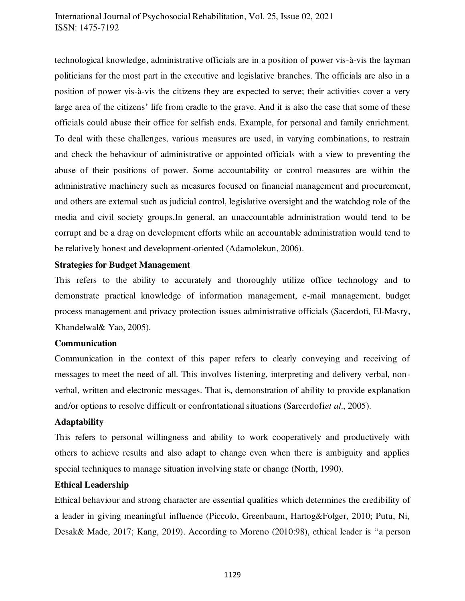technological knowledge, administrative officials are in a position of power vis-à-vis the layman politicians for the most part in the executive and legislative branches. The officials are also in a position of power vis-à-vis the citizens they are expected to serve; their activities cover a very large area of the citizens' life from cradle to the grave. And it is also the case that some of these officials could abuse their office for selfish ends. Example, for personal and family enrichment. To deal with these challenges, various measures are used, in varying combinations, to restrain and check the behaviour of administrative or appointed officials with a view to preventing the abuse of their positions of power. Some accountability or control measures are within the administrative machinery such as measures focused on financial management and procurement, and others are external such as judicial control, legislative oversight and the watchdog role of the media and civil society groups.In general, an unaccountable administration would tend to be corrupt and be a drag on development efforts while an accountable administration would tend to be relatively honest and development-oriented (Adamolekun, 2006).

### **Strategies for Budget Management**

This refers to the ability to accurately and thoroughly utilize office technology and to demonstrate practical knowledge of information management, e-mail management, budget process management and privacy protection issues administrative officials (Sacerdoti, El-Masry, Khandelwal& Yao, 2005).

# **Communication**

Communication in the context of this paper refers to clearly conveying and receiving of messages to meet the need of all. This involves listening, interpreting and delivery verbal, nonverbal, written and electronic messages. That is, demonstration of ability to provide explanation and/or options to resolve difficult or confrontational situations (Sarcerdofi*et al*., 2005).

## **Adaptability**

This refers to personal willingness and ability to work cooperatively and productively with others to achieve results and also adapt to change even when there is ambiguity and applies special techniques to manage situation involving state or change (North, 1990).

#### **Ethical Leadership**

Ethical behaviour and strong character are essential qualities which determines the credibility of a leader in giving meaningful influence (Piccolo, Greenbaum, Hartog&Folger, 2010; Putu, Ni, Desak& Made, 2017; Kang, 2019). According to Moreno (2010:98), ethical leader is "a person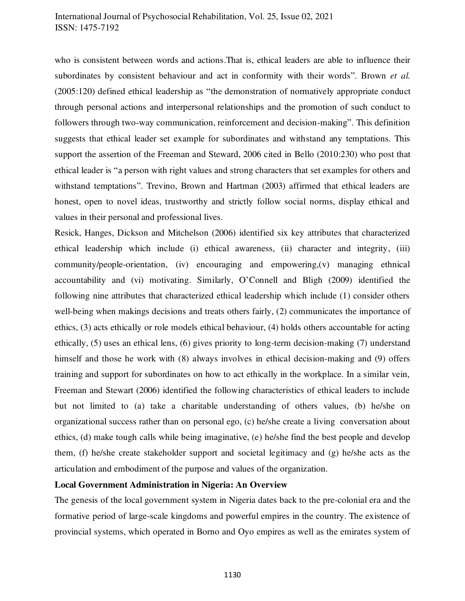who is consistent between words and actions.That is, ethical leaders are able to influence their subordinates by consistent behaviour and act in conformity with their words". Brown *et al.* (2005:120) defined ethical leadership as "the demonstration of normatively appropriate conduct through personal actions and interpersonal relationships and the promotion of such conduct to followers through two-way communication, reinforcement and decision-making". This definition suggests that ethical leader set example for subordinates and withstand any temptations. This support the assertion of the Freeman and Steward, 2006 cited in Bello (2010:230) who post that ethical leader is "a person with right values and strong characters that set examples for others and withstand temptations". Trevino, Brown and Hartman (2003) affirmed that ethical leaders are honest, open to novel ideas, trustworthy and strictly follow social norms, display ethical and values in their personal and professional lives.

Resick, Hanges, Dickson and Mitchelson (2006) identified six key attributes that characterized ethical leadership which include (i) ethical awareness, (ii) character and integrity, (iii) community/people-orientation, (iv) encouraging and empowering,(v) managing ethnical accountability and (vi) motivating. Similarly, O'Connell and Bligh (2009) identified the following nine attributes that characterized ethical leadership which include (1) consider others well-being when makings decisions and treats others fairly, (2) communicates the importance of ethics, (3) acts ethically or role models ethical behaviour, (4) holds others accountable for acting ethically, (5) uses an ethical lens, (6) gives priority to long-term decision-making (7) understand himself and those he work with (8) always involves in ethical decision-making and (9) offers training and support for subordinates on how to act ethically in the workplace. In a similar vein, Freeman and Stewart (2006) identified the following characteristics of ethical leaders to include but not limited to (a) take a charitable understanding of others values, (b) he/she on organizational success rather than on personal ego, (c) he/she create a living conversation about ethics, (d) make tough calls while being imaginative, (e) he/she find the best people and develop them, (f) he/she create stakeholder support and societal legitimacy and (g) he/she acts as the articulation and embodiment of the purpose and values of the organization.

## **Local Government Administration in Nigeria: An Overview**

The genesis of the local government system in Nigeria dates back to the pre-colonial era and the formative period of large-scale kingdoms and powerful empires in the country. The existence of provincial systems, which operated in Borno and Oyo empires as well as the emirates system of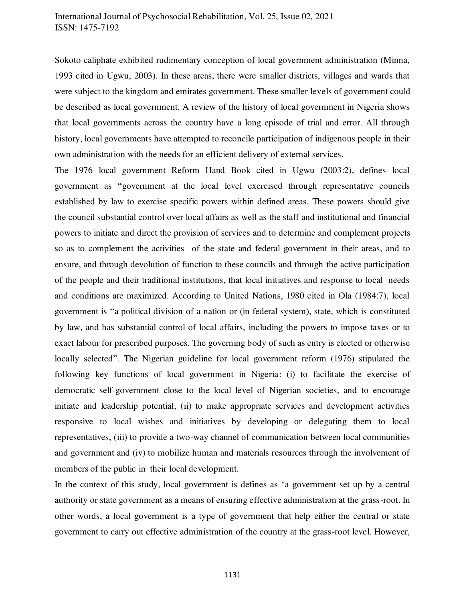Sokoto caliphate exhibited rudimentary conception of local government administration (Minna, 1993 cited in Ugwu, 2003). In these areas, there were smaller districts, villages and wards that were subject to the kingdom and emirates government. These smaller levels of government could be described as local government. A review of the history of local government in Nigeria shows that local governments across the country have a long episode of trial and error. All through history, local governments have attempted to reconcile participation of indigenous people in their own administration with the needs for an efficient delivery of external services.

The 1976 local government Reform Hand Book cited in Ugwu (2003:2), defines local government as "government at the local level exercised through representative councils established by law to exercise specific powers within defined areas. These powers should give the council substantial control over local affairs as well as the staff and institutional and financial powers to initiate and direct the provision of services and to determine and complement projects so as to complement the activities of the state and federal government in their areas, and to ensure, and through devolution of function to these councils and through the active participation of the people and their traditional institutions, that local initiatives and response to local needs and conditions are maximized. According to United Nations, 1980 cited in Ola (1984:7), local government is "a political division of a nation or (in federal system), state, which is constituted by law, and has substantial control of local affairs, including the powers to impose taxes or to exact labour for prescribed purposes. The governing body of such as entry is elected or otherwise locally selected". The Nigerian guideline for local government reform (1976) stipulated the following key functions of local government in Nigeria: (i) to facilitate the exercise of democratic self-government close to the local level of Nigerian societies, and to encourage initiate and leadership potential, (ii) to make appropriate services and development activities responsive to local wishes and initiatives by developing or delegating them to local representatives, (iii) to provide a two-way channel of communication between local communities and government and (iv) to mobilize human and materials resources through the involvement of members of the public in their local development.

In the context of this study, local government is defines as 'a government set up by a central authority or state government as a means of ensuring effective administration at the grass-root. In other words, a local government is a type of government that help either the central or state government to carry out effective administration of the country at the grass-root level. However,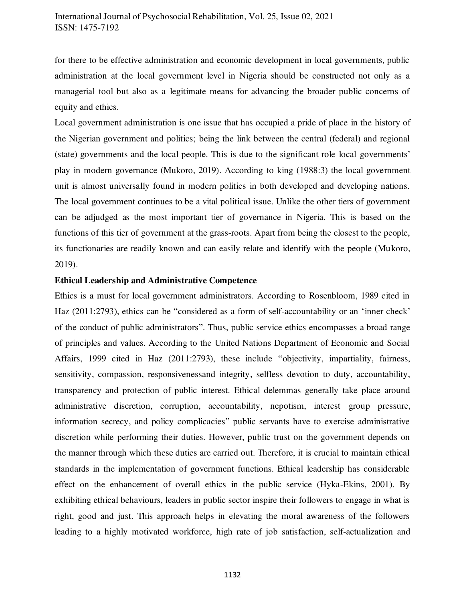for there to be effective administration and economic development in local governments, public administration at the local government level in Nigeria should be constructed not only as a managerial tool but also as a legitimate means for advancing the broader public concerns of equity and ethics.

Local government administration is one issue that has occupied a pride of place in the history of the Nigerian government and politics; being the link between the central (federal) and regional (state) governments and the local people. This is due to the significant role local governments' play in modern governance (Mukoro, 2019). According to king (1988:3) the local government unit is almost universally found in modern politics in both developed and developing nations. The local government continues to be a vital political issue. Unlike the other tiers of government can be adjudged as the most important tier of governance in Nigeria. This is based on the functions of this tier of government at the grass-roots. Apart from being the closest to the people, its functionaries are readily known and can easily relate and identify with the people (Mukoro, 2019).

## **Ethical Leadership and Administrative Competence**

Ethics is a must for local government administrators. According to Rosenbloom, 1989 cited in Haz (2011:2793), ethics can be "considered as a form of self-accountability or an 'inner check' of the conduct of public administrators". Thus, public service ethics encompasses a broad range of principles and values. According to the United Nations Department of Economic and Social Affairs, 1999 cited in Haz (2011:2793), these include "objectivity, impartiality, fairness, sensitivity, compassion, responsivenessand integrity, selfless devotion to duty, accountability, transparency and protection of public interest. Ethical delemmas generally take place around administrative discretion, corruption, accountability, nepotism, interest group pressure, information secrecy, and policy complicacies" public servants have to exercise administrative discretion while performing their duties. However, public trust on the government depends on the manner through which these duties are carried out. Therefore, it is crucial to maintain ethical standards in the implementation of government functions. Ethical leadership has considerable effect on the enhancement of overall ethics in the public service (Hyka-Ekins, 2001). By exhibiting ethical behaviours, leaders in public sector inspire their followers to engage in what is right, good and just. This approach helps in elevating the moral awareness of the followers leading to a highly motivated workforce, high rate of job satisfaction, self-actualization and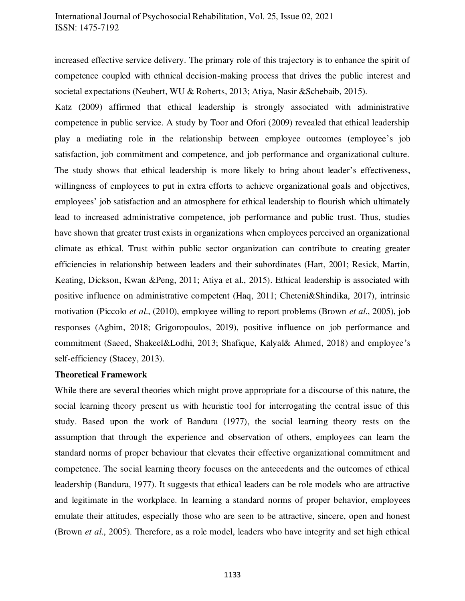increased effective service delivery. The primary role of this trajectory is to enhance the spirit of competence coupled with ethnical decision-making process that drives the public interest and societal expectations (Neubert, WU & Roberts, 2013; Atiya, Nasir &Schebaib, 2015).

Katz (2009) affirmed that ethical leadership is strongly associated with administrative competence in public service. A study by Toor and Ofori (2009) revealed that ethical leadership play a mediating role in the relationship between employee outcomes (employee's job satisfaction, job commitment and competence, and job performance and organizational culture. The study shows that ethical leadership is more likely to bring about leader's effectiveness, willingness of employees to put in extra efforts to achieve organizational goals and objectives, employees' job satisfaction and an atmosphere for ethical leadership to flourish which ultimately lead to increased administrative competence, job performance and public trust. Thus, studies have shown that greater trust exists in organizations when employees perceived an organizational climate as ethical. Trust within public sector organization can contribute to creating greater efficiencies in relationship between leaders and their subordinates (Hart, 2001; Resick, Martin, Keating, Dickson, Kwan &Peng, 2011; Atiya et al., 2015). Ethical leadership is associated with positive influence on administrative competent (Haq, 2011; Cheteni&Shindika, 2017), intrinsic motivation (Piccolo *et al*., (2010), employee willing to report problems (Brown *et al*., 2005), job responses (Agbim, 2018; Grigoropoulos, 2019), positive influence on job performance and commitment (Saeed, Shakeel&Lodhi, 2013; Shafique, Kalyal& Ahmed, 2018) and employee's self-efficiency (Stacey, 2013).

## **Theoretical Framework**

While there are several theories which might prove appropriate for a discourse of this nature, the social learning theory present us with heuristic tool for interrogating the central issue of this study. Based upon the work of Bandura (1977), the social learning theory rests on the assumption that through the experience and observation of others, employees can learn the standard norms of proper behaviour that elevates their effective organizational commitment and competence. The social learning theory focuses on the antecedents and the outcomes of ethical leadership (Bandura, 1977). It suggests that ethical leaders can be role models who are attractive and legitimate in the workplace. In learning a standard norms of proper behavior, employees emulate their attitudes, especially those who are seen to be attractive, sincere, open and honest (Brown *et al*., 2005). Therefore, as a role model, leaders who have integrity and set high ethical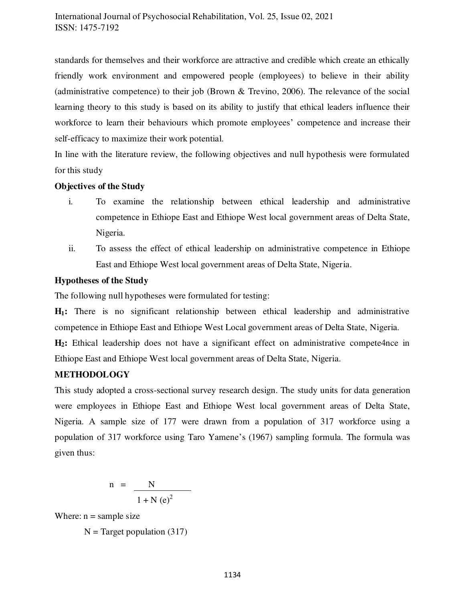standards for themselves and their workforce are attractive and credible which create an ethically friendly work environment and empowered people (employees) to believe in their ability (administrative competence) to their job (Brown & Trevino, 2006). The relevance of the social learning theory to this study is based on its ability to justify that ethical leaders influence their workforce to learn their behaviours which promote employees' competence and increase their self-efficacy to maximize their work potential.

In line with the literature review, the following objectives and null hypothesis were formulated for this study

# **Objectives of the Study**

- i. To examine the relationship between ethical leadership and administrative competence in Ethiope East and Ethiope West local government areas of Delta State, Nigeria.
- ii. To assess the effect of ethical leadership on administrative competence in Ethiope East and Ethiope West local government areas of Delta State, Nigeria.

# **Hypotheses of the Study**

The following null hypotheses were formulated for testing:

**H1:** There is no significant relationship between ethical leadership and administrative competence in Ethiope East and Ethiope West Local government areas of Delta State, Nigeria.

**H2:** Ethical leadership does not have a significant effect on administrative compete4nce in Ethiope East and Ethiope West local government areas of Delta State, Nigeria.

# **METHODOLOGY**

This study adopted a cross-sectional survey research design. The study units for data generation were employees in Ethiope East and Ethiope West local government areas of Delta State, Nigeria. A sample size of 177 were drawn from a population of 317 workforce using a population of 317 workforce using Taro Yamene's (1967) sampling formula. The formula was given thus:

$$
n = \frac{N}{1 + N (e)^2}
$$

Where:  $n =$  sample size

 $N = Target population (317)$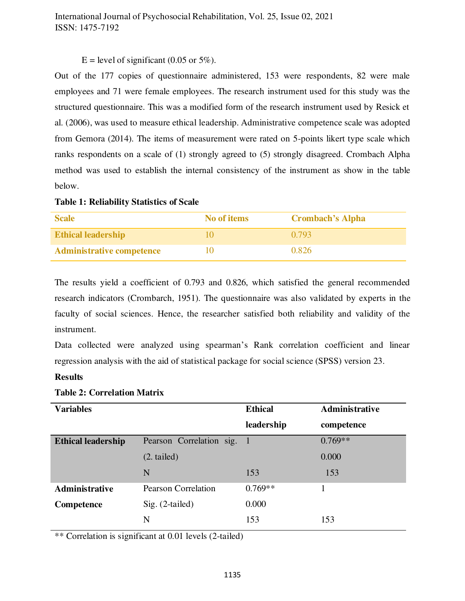# $E = level of significant (0.05 or 5\%).$

Out of the 177 copies of questionnaire administered, 153 were respondents, 82 were male employees and 71 were female employees. The research instrument used for this study was the structured questionnaire. This was a modified form of the research instrument used by Resick et al. (2006), was used to measure ethical leadership. Administrative competence scale was adopted from Gemora (2014). The items of measurement were rated on 5-points likert type scale which ranks respondents on a scale of (1) strongly agreed to (5) strongly disagreed. Crombach Alpha method was used to establish the internal consistency of the instrument as show in the table below.

#### **Table 1: Reliability Statistics of Scale**

| <b>Scale</b>                     | No of items | <b>Crombach's Alpha</b> |
|----------------------------------|-------------|-------------------------|
| <b>Ethical leadership</b>        |             | 0.793                   |
| <b>Administrative competence</b> |             | 0.826                   |

The results yield a coefficient of 0.793 and 0.826, which satisfied the general recommended research indicators (Crombarch, 1951). The questionnaire was also validated by experts in the faculty of social sciences. Hence, the researcher satisfied both reliability and validity of the instrument.

Data collected were analyzed using spearman's Rank correlation coefficient and linear regression analysis with the aid of statistical package for social science (SPSS) version 23.

# **Results**

| <b>Variables</b>          |                            | <b>Ethical</b> | Administrative |
|---------------------------|----------------------------|----------------|----------------|
|                           |                            | leadership     | competence     |
| <b>Ethical leadership</b> | Pearson Correlation sig. 1 |                | $0.769**$      |
|                           | $(2. \text{tailed})$       |                | 0.000          |
|                           | N                          | 153            | 153            |
| <b>Administrative</b>     | <b>Pearson Correlation</b> | $0.769**$      |                |
| Competence                | $Sig. (2-tailed)$          | 0.000          |                |
|                           | N                          | 153            | 153            |

## **Table 2: Correlation Matrix**

\*\* Correlation is significant at 0.01 levels (2-tailed)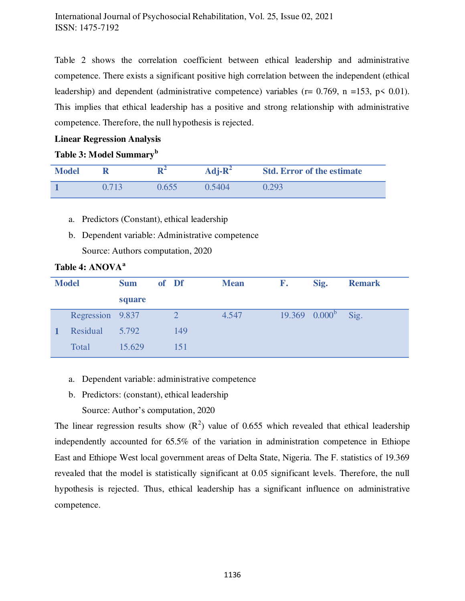Table 2 shows the correlation coefficient between ethical leadership and administrative competence. There exists a significant positive high correlation between the independent (ethical leadership) and dependent (administrative competence) variables ( $r = 0.769$ ,  $n = 153$ ,  $p \le 0.01$ ). This implies that ethical leadership has a positive and strong relationship with administrative competence. Therefore, the null hypothesis is rejected.

# **Linear Regression Analysis**

# **Table 3: Model Summary<sup>b</sup>**

| <b>Model</b> |       | D-   | $Adj-R^2$ | <b>Std. Error of the estimate</b> |
|--------------|-------|------|-----------|-----------------------------------|
|              | 0.713 | 1655 | 0.5404    | 0.293                             |

- a. Predictors (Constant), ethical leadership
- b. Dependent variable: Administrative competence Source: Authors computation, 2020

| <b>Model</b>     | <b>Sum</b> | of Df          | <b>Mean</b> | F. | Sig.               | <b>Remark</b> |
|------------------|------------|----------------|-------------|----|--------------------|---------------|
|                  | square     |                |             |    |                    |               |
| Regression 9.837 |            | $\overline{2}$ | 4.547       |    | $19.369$ $0.000^b$ | Sig.          |
| Residual         | 5.792      | 149            |             |    |                    |               |
| Total            | 15.629     | 151            |             |    |                    |               |

# **Table 4: ANOVA<sup>a</sup>**

- a. Dependent variable: administrative competence
- b. Predictors: (constant), ethical leadership
- Source: Author's computation, 2020

The linear regression results show  $(R^2)$  value of 0.655 which revealed that ethical leadership independently accounted for 65.5% of the variation in administration competence in Ethiope East and Ethiope West local government areas of Delta State, Nigeria. The F. statistics of 19.369 revealed that the model is statistically significant at 0.05 significant levels. Therefore, the null hypothesis is rejected. Thus, ethical leadership has a significant influence on administrative competence.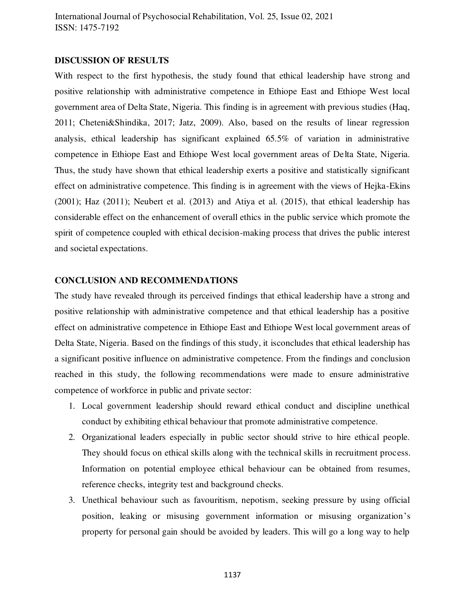#### **DISCUSSION OF RESULTS**

With respect to the first hypothesis, the study found that ethical leadership have strong and positive relationship with administrative competence in Ethiope East and Ethiope West local government area of Delta State, Nigeria. This finding is in agreement with previous studies (Haq, 2011; Cheteni&Shindika, 2017; Jatz, 2009). Also, based on the results of linear regression analysis, ethical leadership has significant explained 65.5% of variation in administrative competence in Ethiope East and Ethiope West local government areas of Delta State, Nigeria. Thus, the study have shown that ethical leadership exerts a positive and statistically significant effect on administrative competence. This finding is in agreement with the views of Hejka-Ekins (2001); Haz (2011); Neubert et al. (2013) and Atiya et al. (2015), that ethical leadership has considerable effect on the enhancement of overall ethics in the public service which promote the spirit of competence coupled with ethical decision-making process that drives the public interest and societal expectations.

#### **CONCLUSION AND RECOMMENDATIONS**

The study have revealed through its perceived findings that ethical leadership have a strong and positive relationship with administrative competence and that ethical leadership has a positive effect on administrative competence in Ethiope East and Ethiope West local government areas of Delta State, Nigeria. Based on the findings of this study, it isconcludes that ethical leadership has a significant positive influence on administrative competence. From the findings and conclusion reached in this study, the following recommendations were made to ensure administrative competence of workforce in public and private sector:

- 1. Local government leadership should reward ethical conduct and discipline unethical conduct by exhibiting ethical behaviour that promote administrative competence.
- 2. Organizational leaders especially in public sector should strive to hire ethical people. They should focus on ethical skills along with the technical skills in recruitment process. Information on potential employee ethical behaviour can be obtained from resumes, reference checks, integrity test and background checks.
- 3. Unethical behaviour such as favouritism, nepotism, seeking pressure by using official position, leaking or misusing government information or misusing organization's property for personal gain should be avoided by leaders. This will go a long way to help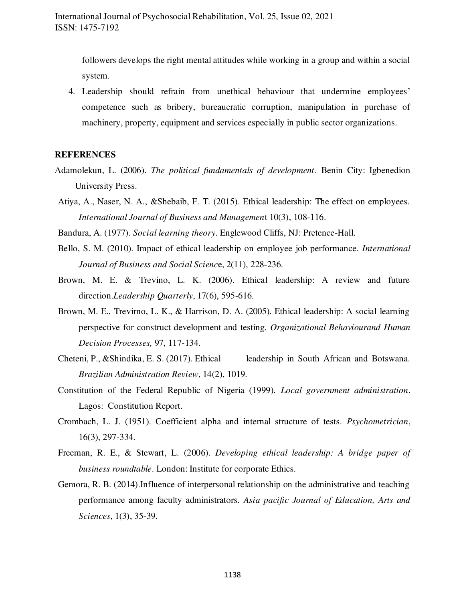followers develops the right mental attitudes while working in a group and within a social system.

4. Leadership should refrain from unethical behaviour that undermine employees' competence such as bribery, bureaucratic corruption, manipulation in purchase of machinery, property, equipment and services especially in public sector organizations.

#### **REFERENCES**

- Adamolekun, L. (2006). *The political fundamentals of development*. Benin City: Igbenedion University Press.
- Atiya, A., Naser, N. A., &Shebaib, F. T. (2015). Ethical leadership: The effect on employees. *International Journal of Business and Managemen*t 10(3), 108-116.
- Bandura, A. (1977). *Social learning theory*. Englewood Cliffs, NJ: Pretence-Hall.
- Bello, S. M. (2010). Impact of ethical leadership on employee job performance. *International Journal of Business and Social Scienc*e, 2(11), 228-236.
- Brown, M. E. & Trevino, L. K. (2006). Ethical leadership: A review and future direction.*Leadership Quarterly*, 17(6), 595-616.
- Brown, M. E., Trevirno, L. K., & Harrison, D. A. (2005). Ethical leadership: A social learning perspective for construct development and testing. *Organizational Behaviourand Human Decision Processes,* 97, 117-134.
- Cheteni, P., &Shindika, E. S. (2017). Ethical leadership in South African and Botswana. *Brazilian Administration Review*, 14(2), 1019.
- Constitution of the Federal Republic of Nigeria (1999). *Local government administration*. Lagos: Constitution Report.
- Crombach, L. J. (1951). Coefficient alpha and internal structure of tests. *Psychometrician*, 16(3), 297-334.
- Freeman, R. E., & Stewart, L. (2006). *Developing ethical leadership: A bridge paper of business roundtable*. London: Institute for corporate Ethics.
- Gemora, R. B. (2014).Influence of interpersonal relationship on the administrative and teaching performance among faculty administrators. *Asia pacific Journal of Education, Arts and Sciences*, 1(3), 35-39.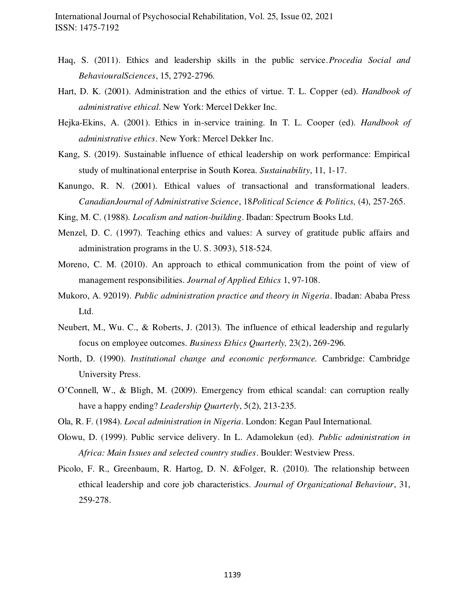- Haq, S. (2011). Ethics and leadership skills in the public service.*Procedia Social and BehaviouralSciences*, 15, 2792-2796.
- Hart, D. K. (2001). Administration and the ethics of virtue. T. L. Copper (ed). *Handbook of administrative ethical*. New York: Mercel Dekker Inc.
- Hejka-Ekins, A. (2001). Ethics in in-service training. In T. L. Cooper (ed). *Handbook of administrative ethics*. New York: Mercel Dekker Inc.
- Kang, S. (2019). Sustainable influence of ethical leadership on work performance: Empirical study of multinational enterprise in South Korea. *Sustainability*, 11, 1-17.
- Kanungo, R. N. (2001). Ethical values of transactional and transformational leaders. *CanadianJournal of Administrative Science*, 18*Political Science & Politics,* (4), 257-265.
- King, M. C. (1988). *Localism and nation-building*. Ibadan: Spectrum Books Ltd.
- Menzel, D. C. (1997). Teaching ethics and values: A survey of gratitude public affairs and administration programs in the U. S. 3093), 518-524.
- Moreno, C. M. (2010). An approach to ethical communication from the point of view of management responsibilities. *Journal of Applied Ethics* 1, 97-108.
- Mukoro, A. 92019). *Public administration practice and theory in Nigeria*. Ibadan: Ababa Press Ltd.
- Neubert, M., Wu. C., & Roberts, J. (2013). The influence of ethical leadership and regularly focus on employee outcomes. *Business Ethics Quarterly,* 23(2), 269-296.
- North, D. (1990). *Institutional change and economic performance.* Cambridge: Cambridge University Press.
- O'Connell, W., & Bligh, M. (2009). Emergency from ethical scandal: can corruption really have a happy ending? *Leadership Quarterly*, 5(2), 213-235.
- Ola, R. F. (1984). *Local administration in Nigeria*. London: Kegan Paul International.
- Olowu, D. (1999). Public service delivery. In L. Adamolekun (ed). *Public administration in Africa: Main Issues and selected country studies*. Boulder: Westview Press.
- Picolo, F. R., Greenbaum, R. Hartog, D. N. &Folger, R. (2010). The relationship between ethical leadership and core job characteristics. *Journal of Organizational Behaviour*, 31, 259-278.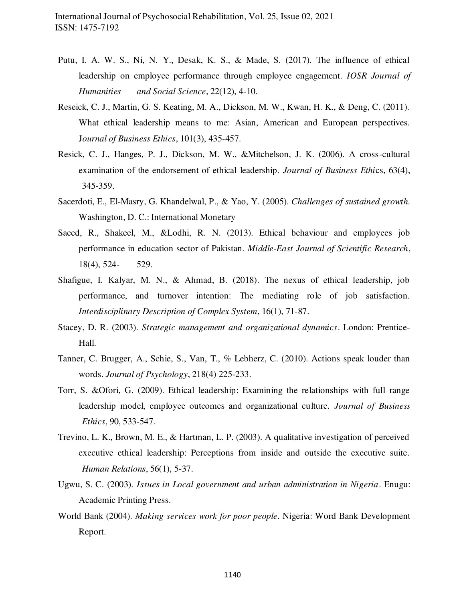- Putu, I. A. W. S., Ni, N. Y., Desak, K. S., & Made, S. (2017). The influence of ethical leadership on employee performance through employee engagement. *IOSR Journal of Humanities and Social Science*, 22(12), 4-10.
- Reseick, C. J., Martin, G. S. Keating, M. A., Dickson, M. W., Kwan, H. K., & Deng, C. (2011). What ethical leadership means to me: Asian, American and European perspectives. J*ournal of Business Ethics*, 101(3), 435-457.
- Resick, C. J., Hanges, P. J., Dickson, M. W., &Mitchelson, J. K. (2006). A cross-cultural examination of the endorsement of ethical leadership. *Journal of Business Ethi*cs, 63(4), 345-359.
- Sacerdoti, E., El-Masry, G. Khandelwal, P., & Yao, Y. (2005). *Challenges of sustained growth.* Washington, D. C.: International Monetary
- Saeed, R., Shakeel, M., &Lodhi, R. N. (2013). Ethical behaviour and employees job performance in education sector of Pakistan. *Middle-East Journal of Scientific Research*, 18(4), 524- 529.
- Shafigue, I. Kalyar, M. N., & Ahmad, B. (2018). The nexus of ethical leadership, job performance, and turnover intention: The mediating role of job satisfaction. *Interdisciplinary Description of Complex System*, 16(1), 71-87.
- Stacey, D. R. (2003). *Strategic management and organizational dynamics*. London: Prentice-Hall.
- Tanner, C. Brugger, A., Schie, S., Van, T., % Lebherz, C. (2010). Actions speak louder than words. *Journal of Psychology*, 218(4) 225-233.
- Torr, S. &Ofori, G. (2009). Ethical leadership: Examining the relationships with full range leadership model, employee outcomes and organizational culture*. Journal of Business Ethics*, 90, 533-547.
- Trevino, L. K., Brown, M. E., & Hartman, L. P. (2003). A qualitative investigation of perceived executive ethical leadership: Perceptions from inside and outside the executive suite. *Human Relations*, 56(1), 5-37.
- Ugwu, S. C. (2003). *Issues in Local government and urban administration in Nigeria*. Enugu: Academic Printing Press.
- World Bank (2004). *Making services work for poor people*. Nigeria: Word Bank Development Report.